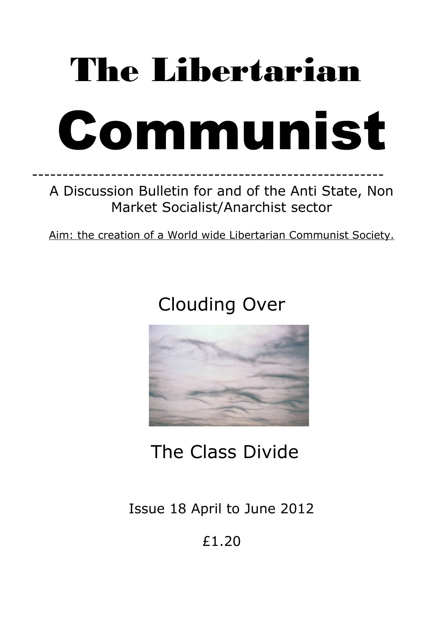# The Libertarian Communist

# ---------------------------------------------------------- A Discussion Bulletin for and of the Anti State, Non Market Socialist/Anarchist sector

Aim: the creation of a World wide Libertarian Communist Society.

# Clouding Over



# The Class Divide

Issue 18 April to June 2012

£1.20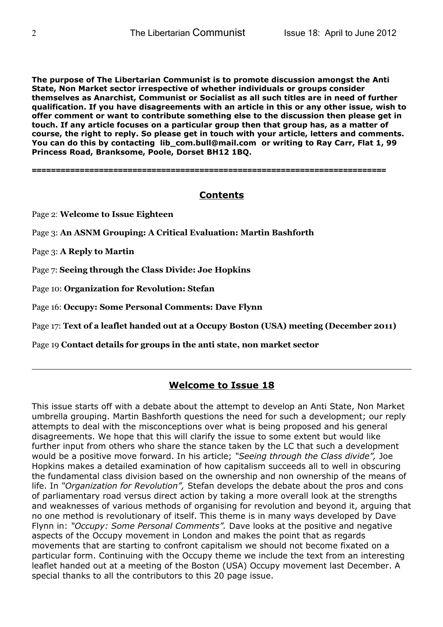**The purpose of The Libertarian Communist is to promote discussion amongst the Anti State, Non Market sector irrespective of whether individuals or groups consider themselves as Anarchist, Communist or Socialist as all such titles are in need of further qualification. If you have disagreements with an article in this or any other issue, wish to offer comment or want to contribute something else to the discussion then please get in touch. If any article focuses on a particular group then that group has, as a matter of course, the right to reply. So please get in touch with your article, letters and comments. You can do this by contacting lib\_com.bull@mail.com or writing to Ray Carr, Flat 1, 99 Princess Road, Branksome, Poole, Dorset BH12 1BQ.**

==========================================================================

# **Contents**

Page 2: **Welcome to Issue Eighteen**

Page 3: **An ASNM Grouping: A Critical Evaluation: Martin Bashforth**

Page 3: **A Reply to Martin**

Page 7: **Seeing through the Class Divide: Joe Hopkins**

Page 10: **Organization for Revolution: Stefan**

Page 16: **Occupy: Some Personal Comments: Dave Flynn**

Page 17: **Text of a leaflet handed out at a Occupy Boston (USA) meeting (December 2011)**

Page 19 **Contact details for groups in the anti state, non market sector**

# **Welcome to Issue 18**

This issue starts off with a debate about the attempt to develop an Anti State, Non Market umbrella grouping. Martin Bashforth questions the need for such a development; our reply attempts to deal with the misconceptions over what is being proposed and his general disagreements. We hope that this will clarify the issue to some extent but would like further input from others who share the stance taken by the LC that such a development would be a positive move forward. In his article; *"Seeing through the Class divide",* Joe Hopkins makes a detailed examination of how capitalism succeeds all to well in obscuring the fundamental class division based on the ownership and non ownership of the means of life. In *"Organization for Revolution",* Stefan develops the debate about the pros and cons of parliamentary road versus direct action by taking a more overall look at the strengths and weaknesses of various methods of organising for revolution and beyond it, arguing that no one method is revolutionary of itself. This theme is in many ways developed by Dave Flynn in: *"Occupy: Some Personal Comments".* Dave looks at the positive and negative aspects of the Occupy movement in London and makes the point that as regards movements that are starting to confront capitalism we should not become fixated on a particular form. Continuing with the Occupy theme we include the text from an interesting leaflet handed out at a meeting of the Boston (USA) Occupy movement last December. A special thanks to all the contributors to this 20 page issue.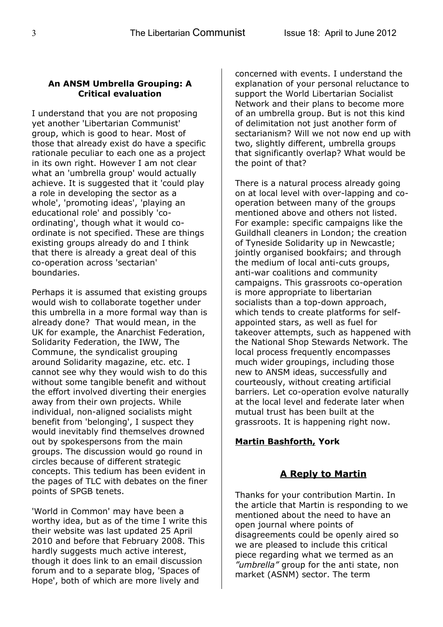#### **An ANSM Umbrella Grouping: A Critical evaluation**

I understand that you are not proposing yet another 'Libertarian Communist' group, which is good to hear. Most of those that already exist do have a specific rationale peculiar to each one as a project in its own right. However I am not clear what an 'umbrella group' would actually achieve. It is suggested that it 'could play a role in developing the sector as a whole', 'promoting ideas', 'playing an educational role' and possibly 'coordinating', though what it would coordinate is not specified. These are things existing groups already do and I think that there is already a great deal of this co-operation across 'sectarian' boundaries.

Perhaps it is assumed that existing groups would wish to collaborate together under this umbrella in a more formal way than is already done? That would mean, in the UK for example, the Anarchist Federation, Solidarity Federation, the IWW, The Commune, the syndicalist grouping around Solidarity magazine, etc. etc. I cannot see why they would wish to do this without some tangible benefit and without the effort involved diverting their energies away from their own projects. While individual, non-aligned socialists might benefit from 'belonging', I suspect they would inevitably find themselves drowned out by spokespersons from the main groups. The discussion would go round in circles because of different strategic concepts. This tedium has been evident in the pages of TLC with debates on the finer points of SPGB tenets.

'World in Common' may have been a worthy idea, but as of the time I write this their website was last updated 25 April 2010 and before that February 2008. This hardly suggests much active interest, though it does link to an email discussion forum and to a separate blog, 'Spaces of Hope', both of which are more lively and

concerned with events. I understand the explanation of your personal reluctance to support the World Libertarian Socialist Network and their plans to become more of an umbrella group. But is not this kind of delimitation not just another form of sectarianism? Will we not now end up with two, slightly different, umbrella groups that significantly overlap? What would be the point of that?

There is a natural process already going on at local level with over-lapping and cooperation between many of the groups mentioned above and others not listed. For example: specific campaigns like the Guildhall cleaners in London; the creation of Tyneside Solidarity up in Newcastle; jointly organised bookfairs; and through the medium of local anti-cuts groups, anti-war coalitions and community campaigns. This grassroots co-operation is more appropriate to libertarian socialists than a top-down approach, which tends to create platforms for selfappointed stars, as well as fuel for takeover attempts, such as happened with the National Shop Stewards Network. The local process frequently encompasses much wider groupings, including those new to ANSM ideas, successfully and courteously, without creating artificial barriers. Let co-operation evolve naturally at the local level and federate later when mutual trust has been built at the grassroots. It is happening right now.

# **Martin Bashforth, York**

# **A Reply to Martin**

Thanks for your contribution Martin. In the article that Martin is responding to we mentioned about the need to have an open journal where points of disagreements could be openly aired so we are pleased to include this critical piece regarding what we termed as an *"umbrella"* group for the anti state, non market (ASNM) sector. The term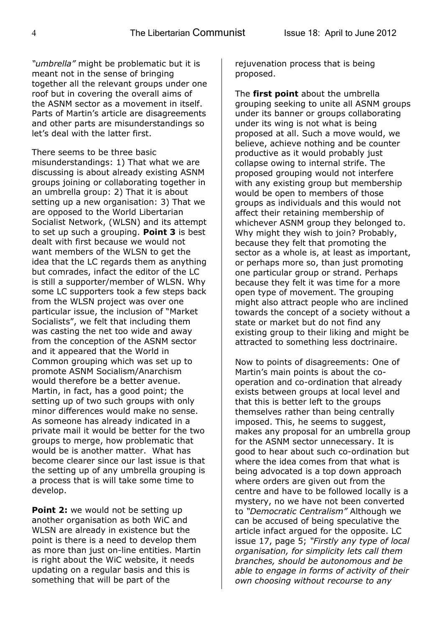*"umbrella"* might be problematic but it is meant not in the sense of bringing together all the relevant groups under one roof but in covering the overall aims of the ASNM sector as a movement in itself. Parts of Martin's article are disagreements and other parts are misunderstandings so let's deal with the latter first.

There seems to be three basic misunderstandings: 1) That what we are discussing is about already existing ASNM groups joining or collaborating together in an umbrella group: 2) That it is about setting up a new organisation: 3) That we are opposed to the World Libertarian Socialist Network, (WLSN) and its attempt to set up such a grouping. **Point 3** is best dealt with first because we would not want members of the WLSN to get the idea that the LC regards them as anything but comrades, infact the editor of the LC is still a supporter/member of WLSN. Why some LC supporters took a few steps back from the WLSN project was over one particular issue, the inclusion of "Market Socialists", we felt that including them was casting the net too wide and away from the conception of the ASNM sector and it appeared that the World in Common grouping which was set up to promote ASNM Socialism/Anarchism would therefore be a better avenue. Martin, in fact, has a good point; the setting up of two such groups with only minor differences would make no sense. As someone has already indicated in a private mail it would be better for the two groups to merge, how problematic that would be is another matter. What has become clearer since our last issue is that the setting up of any umbrella grouping is a process that is will take some time to develop.

**Point 2:** we would not be setting up another organisation as both WiC and WLSN are already in existence but the point is there is a need to develop them as more than just on-line entities. Martin is right about the WiC website, it needs updating on a regular basis and this is something that will be part of the

rejuvenation process that is being proposed.

The **first point** about the umbrella grouping seeking to unite all ASNM groups under its banner or groups collaborating under its wing is not what is being proposed at all. Such a move would, we believe, achieve nothing and be counter productive as it would probably just collapse owing to internal strife. The proposed grouping would not interfere with any existing group but membership would be open to members of those groups as individuals and this would not affect their retaining membership of whichever ASNM group they belonged to. Why might they wish to join? Probably, because they felt that promoting the sector as a whole is, at least as important, or perhaps more so, than just promoting one particular group or strand. Perhaps because they felt it was time for a more open type of movement. The grouping might also attract people who are inclined towards the concept of a society without a state or market but do not find any existing group to their liking and might be attracted to something less doctrinaire.

Now to points of disagreements: One of Martin's main points is about the cooperation and co-ordination that already exists between groups at local level and that this is better left to the groups themselves rather than being centrally imposed. This, he seems to suggest, makes any proposal for an umbrella group for the ASNM sector unnecessary. It is good to hear about such co-ordination but where the idea comes from that what is being advocated is a top down approach where orders are given out from the centre and have to be followed locally is a mystery, no we have not been converted to *"Democratic Centralism"* Although we can be accused of being speculative the article infact argued for the opposite. LC issue 17, page 5; *"Firstly any type of local organisation, for simplicity lets call them branches, should be autonomous and be able to engage in forms of activity of their own choosing without recourse to any*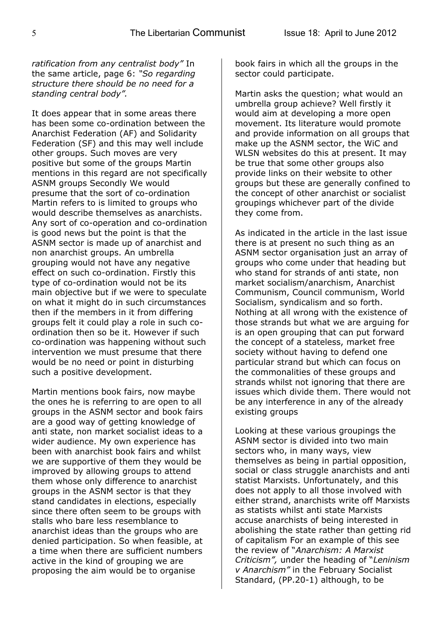*ratification from any centralist body"* In the same article, page 6: *"So regarding structure there should be no need for a standing central body".*

It does appear that in some areas there has been some co-ordination between the Anarchist Federation (AF) and Solidarity Federation (SF) and this may well include other groups. Such moves are very positive but some of the groups Martin mentions in this regard are not specifically ASNM groups Secondly We would presume that the sort of co-ordination Martin refers to is limited to groups who would describe themselves as anarchists. Any sort of co-operation and co-ordination is good news but the point is that the ASNM sector is made up of anarchist and non anarchist groups. An umbrella grouping would not have any negative effect on such co-ordination. Firstly this type of co-ordination would not be its main objective but if we were to speculate on what it might do in such circumstances then if the members in it from differing groups felt it could play a role in such coordination then so be it. However if such co-ordination was happening without such intervention we must presume that there would be no need or point in disturbing such a positive development.

Martin mentions book fairs, now maybe the ones he is referring to are open to all groups in the ASNM sector and book fairs are a good way of getting knowledge of anti state, non market socialist ideas to a wider audience. My own experience has been with anarchist book fairs and whilst we are supportive of them they would be improved by allowing groups to attend them whose only difference to anarchist groups in the ASNM sector is that they stand candidates in elections, especially since there often seem to be groups with stalls who bare less resemblance to anarchist ideas than the groups who are denied participation. So when feasible, at a time when there are sufficient numbers active in the kind of grouping we are proposing the aim would be to organise

book fairs in which all the groups in the sector could participate.

Martin asks the question; what would an umbrella group achieve? Well firstly it would aim at developing a more open movement. Its literature would promote and provide information on all groups that make up the ASNM sector, the WiC and WLSN websites do this at present. It may be true that some other groups also provide links on their website to other groups but these are generally confined to the concept of other anarchist or socialist groupings whichever part of the divide they come from.

As indicated in the article in the last issue there is at present no such thing as an ASNM sector organisation just an array of groups who come under that heading but who stand for strands of anti state, non market socialism/anarchism, Anarchist Communism, Council communism, World Socialism, syndicalism and so forth. Nothing at all wrong with the existence of those strands but what we are arguing for is an open grouping that can put forward the concept of a stateless, market free society without having to defend one particular strand but which can focus on the commonalities of these groups and strands whilst not ignoring that there are issues which divide them. There would not be any interference in any of the already existing groups

Looking at these various groupings the ASNM sector is divided into two main sectors who, in many ways, view themselves as being in partial opposition, social or class struggle anarchists and anti statist Marxists. Unfortunately, and this does not apply to all those involved with either strand, anarchists write off Marxists as statists whilst anti state Marxists accuse anarchists of being interested in abolishing the state rather than getting rid of capitalism For an example of this see the review of "*Anarchism: A Marxist Criticism",* under the heading of "*Leninism v Anarchism"* in the February Socialist Standard, (PP.20-1) although, to be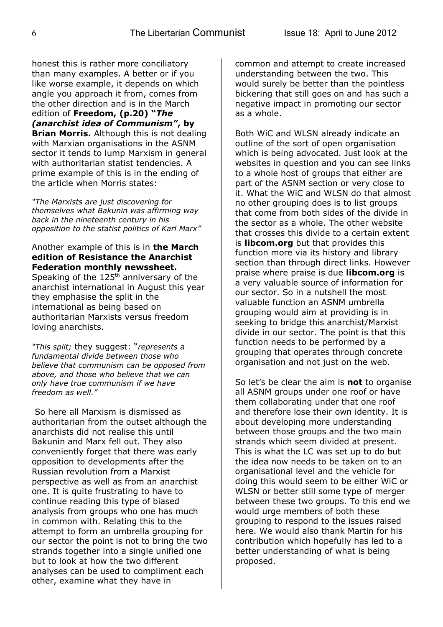honest this is rather more conciliatory than many examples. A better or if you like worse example, it depends on which angle you approach it from, comes from the other direction and is in the March edition of **Freedom, (p.20) "***The (anarchist idea of Communism"***, by Brian Morris.** Although this is not dealing with Marxian organisations in the ASNM sector it tends to lump Marxism in general with authoritarian statist tendencies. A prime example of this is in the ending of the article when Morris states:

*"The Marxists are just discovering for themselves what Bakunin was affirming way back in the nineteenth century in his opposition to the statist politics of Karl Marx"*

#### Another example of this is in **the March edition of Resistance the Anarchist Federation monthly newssheet.**

Speaking of the  $125<sup>th</sup>$  anniversary of the anarchist international in August this year they emphasise the split in the international as being based on authoritarian Marxists versus freedom loving anarchists.

*"This split;* they suggest: "*represents a fundamental divide between those who believe that communism can be opposed from above, and those who believe that we can only have true communism if we have freedom as well."* 

 So here all Marxism is dismissed as authoritarian from the outset although the anarchists did not realise this until Bakunin and Marx fell out. They also conveniently forget that there was early opposition to developments after the Russian revolution from a Marxist perspective as well as from an anarchist one. It is quite frustrating to have to continue reading this type of biased analysis from groups who one has much in common with. Relating this to the attempt to form an umbrella grouping for our sector the point is not to bring the two strands together into a single unified one but to look at how the two different analyses can be used to compliment each other, examine what they have in

common and attempt to create increased understanding between the two. This would surely be better than the pointless bickering that still goes on and has such a negative impact in promoting our sector as a whole.

Both WiC and WLSN already indicate an outline of the sort of open organisation which is being advocated. Just look at the websites in question and you can see links to a whole host of groups that either are part of the ASNM section or very close to it. What the WiC and WLSN do that almost no other grouping does is to list groups that come from both sides of the divide in the sector as a whole. The other website that crosses this divide to a certain extent is **libcom.org** but that provides this function more via its history and library section than through direct links. However praise where praise is due **libcom.org** is a very valuable source of information for our sector. So in a nutshell the most valuable function an ASNM umbrella grouping would aim at providing is in seeking to bridge this anarchist/Marxist divide in our sector. The point is that this function needs to be performed by a grouping that operates through concrete organisation and not just on the web.

So let's be clear the aim is **not** to organise all ASNM groups under one roof or have them collaborating under that one roof and therefore lose their own identity. It is about developing more understanding between those groups and the two main strands which seem divided at present. This is what the LC was set up to do but the idea now needs to be taken on to an organisational level and the vehicle for doing this would seem to be either WiC or WLSN or better still some type of merger between these two groups. To this end we would urge members of both these grouping to respond to the issues raised here. We would also thank Martin for his contribution which hopefully has led to a better understanding of what is being proposed.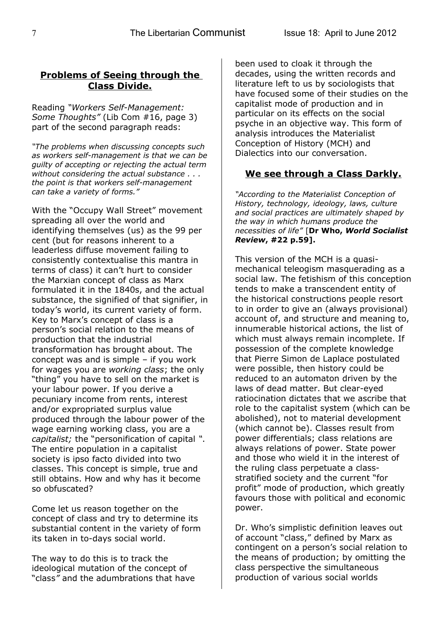# **Problems of Seeing through the Class Divide.**

Reading *"Workers Self-Management: Some Thoughts"* (Lib Com #16, page 3) part of the second paragraph reads:

*"The problems when discussing concepts such as workers self-management is that we can be guilty of accepting or rejecting the actual term without considering the actual substance . . . the point is that workers self-management can take a variety of forms."*

With the "Occupy Wall Street" movement spreading all over the world and identifying themselves (us) as the 99 per cent (but for reasons inherent to a leaderless diffuse movement failing to consistently contextualise this mantra in terms of class) it can't hurt to consider the Marxian concept of class as Marx formulated it in the 1840s, and the actual substance, the signified of that signifier, in today's world, its current variety of form. Key to Marx's concept of class is a person's social relation to the means of production that the industrial transformation has brought about. The concept was and is simple – if you work for wages you are *working class*; the only "thing" you have to sell on the market is your labour power. If you derive a pecuniary income from rents, interest and/or expropriated surplus value produced through the labour power of the wage earning working class, you are a *capitalist;* the "personification of capital *"*. The entire population in a capitalist society is ipso facto divided into two classes. This concept is simple, true and still obtains. How and why has it become so obfuscated?

Come let us reason together on the concept of class and try to determine its substantial content in the variety of form its taken in to-days social world.

The way to do this is to track the ideological mutation of the concept of "class*"* and the adumbrations that have been used to cloak it through the decades, using the written records and literature left to us by sociologists that have focused some of their studies on the capitalist mode of production and in particular on its effects on the social psyche in an objective way. This form of analysis introduces the Materialist Conception of History (MCH) and Dialectics into our conversation.

# **We see through a Class Darkly.**

*"According to the Materialist Conception of History, technology, ideology, laws, culture and social practices are ultimately shaped by the way in which humans produce the necessities of life"* [**Dr Who,** *World Socialist Review***, #22 p.59].**

This version of the MCH is a quasimechanical teleogism masquerading as a social law. The fetishism of this conception tends to make a transcendent entity of the historical constructions people resort to in order to give an (always provisional) account of, and structure and meaning to, innumerable historical actions, the list of which must always remain incomplete. If possession of the complete knowledge that Pierre Simon de Laplace postulated were possible, then history could be reduced to an automaton driven by the laws of dead matter. But clear-eyed ratiocination dictates that we ascribe that role to the capitalist system (which can be abolished), not to material development (which cannot be). Classes result from power differentials; class relations are always relations of power. State power and those who wield it in the interest of the ruling class perpetuate a classstratified society and the current "for profit" mode of production, which greatly favours those with political and economic power.

Dr. Who's simplistic definition leaves out of account "class," defined by Marx as contingent on a person's social relation to the means of production; by omitting the class perspective the simultaneous production of various social worlds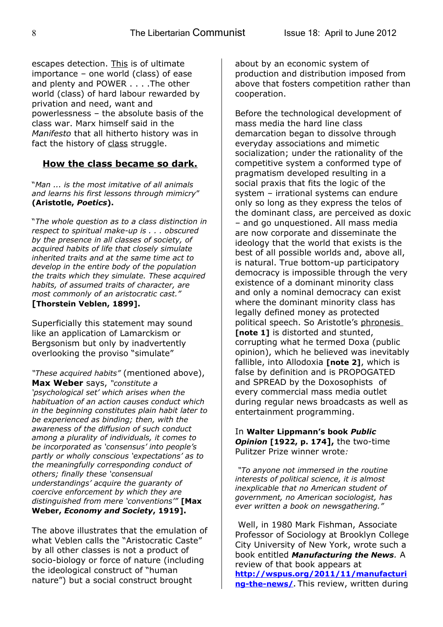escapes detection. This is of ultimate importance – one world (class) of ease and plenty and POWER . . . .The other world (class) of hard labour rewarded by privation and need, want and powerlessness – the absolute basis of the class war. Marx himself said in the *Manifesto* that all hitherto history was in fact the history of class struggle.

# **How the class became so dark.**

"*Man ... is the most imitative of all animals and learns his first lessons through mimicry*" **(Aristotle,** *Poetics***).**

"*The whole question as to a class distinction in respect to spiritual make-up is . . . obscured by the presence in all classes of society, of acquired habits of life that closely simulate inherited traits and at the same time act to develop in the entire body of the population the traits which they simulate. These acquired habits, of assumed traits of character, are most commonly of an aristocratic cast."* **[Thorstein Veblen, 1899].**

Superficially this statement may sound like an application of Lamarckism or Bergsonism but only by inadvertently overlooking the proviso "simulate"

*"These acquired habits"* (mentioned above), **Max Weber** says, *"constitute a 'psychological set' which arises when the habituation of an action causes conduct which in the beginning constitutes plain habit later to be experienced as binding; then, with the awareness of the diffusion of such conduct among a plurality of individuals, it comes to be incorporated as 'consensus' into people's partly or wholly conscious 'expectations' as to the meaningfully corresponding conduct of others; finally these 'consensual understandings' acquire the guaranty of coercive enforcement by which they are distinguished from mere 'conventions'"* **[Max Weber,** *Economy and Society***, 1919].** 

The above illustrates that the emulation of what Veblen calls the "Aristocratic Caste" by all other classes is not a product of socio-biology or force of nature (including the ideological construct of "human nature") but a social construct brought

about by an economic system of production and distribution imposed from above that fosters competition rather than cooperation.

Before the technological development of mass media the hard line class demarcation began to dissolve through everyday associations and mimetic socialization; under the rationality of the competitive system a conformed type of pragmatism developed resulting in a social praxis that fits the logic of the system – irrational systems can endure only so long as they express the telos of the dominant class, are perceived as doxic – and go unquestioned. All mass media are now corporate and disseminate the ideology that the world that exists is the best of all possible worlds and, above all, is natural. True bottom-up participatory democracy is impossible through the very existence of a dominant minority class and only a nominal democracy can exist where the dominant minority class has legally defined money as protected political speech. So Aristotle's phronesis **[note 1]** is distorted and stunted, corrupting what he termed Doxa (public opinion), which he believed was inevitably fallible, into Allodoxia **[note 2]**, which is false by definition and is PROPOGATED and SPREAD by the Doxosophists of every commercial mass media outlet during regular news broadcasts as well as entertainment programming.

#### In **Walter Lippmann's book** *Public Opinion* **[1922, p. 174],** the two-time Pulitzer Prize winner wrote*:*

 *"To anyone not immersed in the routine interests of political science, it is almost inexplicable that no American student of government, no American sociologist, has ever written a book on newsgathering."*

Well, in 1980 Mark Fishman, Associate Professor of Sociology at Brooklyn College City University of New York, wrote such a book entitled *Manufacturing the News.* A review of that book appears at **[http://wspus.org/2011/11/manufacturi](http://wspus.org/2011/11/manufacturing-the-news/) [ng-the-news/](http://wspus.org/2011/11/manufacturing-the-news/).** This review, written during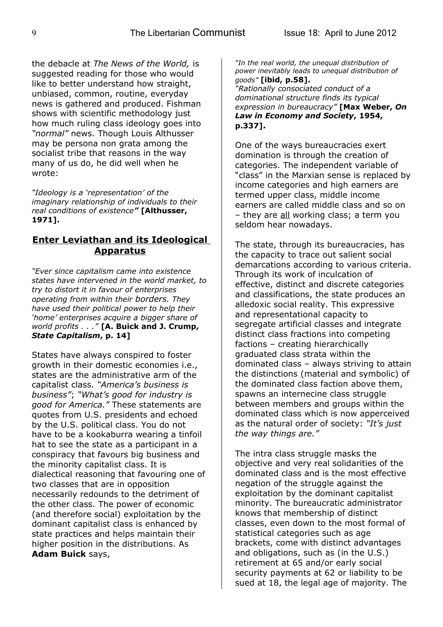the debacle at *The News of the World,* is suggested reading for those who would like to better understand how straight, unbiased, common, routine, everyday news is gathered and produced. Fishman shows with scientific methodology just how much ruling class ideology goes into *"normal"* news. Though Louis Althusser may be persona non grata among the socialist tribe that reasons in the way many of us do, he did well when he wrote:

*"Ideology is a 'representation' of the imaginary relationship of individuals to their real conditions of existence"* **[Althusser, 1971].**

# **Enter Leviathan and its Ideological Apparatus**

*"Ever since capitalism came into existence states have intervened in the world market, to try to distort it in favour of enterprises operating from within their borders. They have used their political power to help their 'home' enterprises acquire a bigger share of world profits . . ."* **[A. Buick and J. Crump,** *State Capitalism***, p. 14]**

States have always conspired to foster growth in their domestic economies i.e., states are the administrative arm of the capitalist class. *"America's business is business"*; *"What's good for industry is good for America."* These statements are quotes from U.S. presidents and echoed by the U.S. political class. You do not have to be a kookaburra wearing a tinfoil hat to see the state as a participant in a conspiracy that favours big business and the minority capitalist class. It is dialectical reasoning that favouring one of two classes that are in opposition necessarily redounds to the detriment of the other class. The power of economic (and therefore social) exploitation by the dominant capitalist class is enhanced by state practices and helps maintain their higher position in the distributions. As **Adam Buick** says,

*"In the real world, the unequal distribution of power inevitably leads to unequal distribution of goods"* **[ibid, p.58].**

*"Rationally consociated conduct of a dominational structure finds its typical expression in bureaucracy"* **[Max Weber,** *On Law in Economy and Society***, 1954, p.337].** 

One of the ways bureaucracies exert domination is through the creation of categories. The independent variable of "class" in the Marxian sense is replaced by income categories and high earners are termed upper class, middle income earners are called middle class and so on – they are all working class; a term you seldom hear nowadays.

The state, through its bureaucracies, has the capacity to trace out salient social demarcations according to various criteria. Through its work of inculcation of effective, distinct and discrete categories and classifications, the state produces an alledoxic social reality. This expressive and representational capacity to segregate artificial classes and integrate distinct class fractions into competing factions – creating hierarchically graduated class strata within the dominated class – always striving to attain the distinctions (material and symbolic) of the dominated class faction above them, spawns an internecine class struggle between members and groups within the dominated class which is now apperceived as the natural order of society: *"It's just the way things are."*

The intra class struggle masks the objective and very real solidarities of the dominated class and is the most effective negation of the struggle against the exploitation by the dominant capitalist minority. The bureaucratic administrator knows that membership of distinct classes, even down to the most formal of statistical categories such as age brackets, come with distinct advantages and obligations, such as (in the U.S.) retirement at 65 and/or early social security payments at 62 or liability to be sued at 18, the legal age of majority. The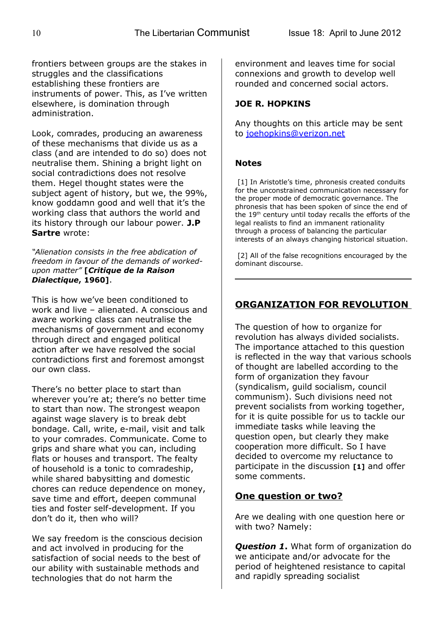frontiers between groups are the stakes in struggles and the classifications establishing these frontiers are instruments of power. This, as I've written elsewhere, is domination through administration.

Look, comrades, producing an awareness of these mechanisms that divide us as a class (and are intended to do so) does not neutralise them. Shining a bright light on social contradictions does not resolve them. Hegel thought states were the subject agent of history, but we, the 99%, know goddamn good and well that it's the working class that authors the world and its history through our labour power. **J.P Sartre** wrote:

#### *"Alienation consists in the free abdication of freedom in favour of the demands of workedupon matter"* **[***Critique de la Raison Dialectique***, 1960]**.

This is how we've been conditioned to work and live – alienated. A conscious and aware working class can neutralise the mechanisms of government and economy through direct and engaged political action after we have resolved the social contradictions first and foremost amongst our own class.

There's no better place to start than wherever you're at; there's no better time to start than now. The strongest weapon against wage slavery is to break debt bondage. Call, write, e-mail, visit and talk to your comrades. Communicate. Come to grips and share what you can, including flats or houses and transport. The fealty of household is a tonic to comradeship, while shared babysitting and domestic chores can reduce dependence on money, save time and effort, deepen communal ties and foster self-development. If you don't do it, then who will?

We say freedom is the conscious decision and act involved in producing for the satisfaction of social needs to the best of our ability with sustainable methods and technologies that do not harm the

environment and leaves time for social connexions and growth to develop well rounded and concerned social actors.

# **JOE R. HOPKINS**

Any thoughts on this article may be sent to [joehopkins@verizon.net](mailto:joehopkins@verizon.net)

# **Notes**

[1] In Aristotle's time, phronesis created conduits for the unconstrained communication necessary for the proper mode of democratic governance. The phronesis that has been spoken of since the end of the  $19<sup>th</sup>$  century until today recalls the efforts of the legal realists to find an immanent rationality through a process of balancing the particular interests of an always changing historical situation.

[2] All of the false recognitions encouraged by the dominant discourse.

# **ORGANIZATION FOR REVOLUTION**

The question of how to organize for revolution has always divided socialists. The importance attached to this question is reflected in the way that various schools of thought are labelled according to the form of organization they favour (syndicalism, guild socialism, council communism). Such divisions need not prevent socialists from working together, for it is quite possible for us to tackle our immediate tasks while leaving the question open, but clearly they make cooperation more difficult. So I have decided to overcome my reluctance to participate in the discussion **[1]** and offer some comments.

# **One question or two?**

Are we dealing with one question here or with two? Namely:

*Question 1***.** What form of organization do we anticipate and/or advocate for the period of heightened resistance to capital and rapidly spreading socialist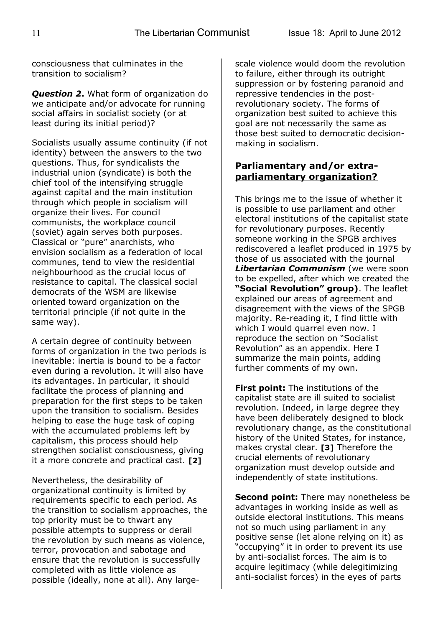consciousness that culminates in the transition to socialism?

*Question 2***.** What form of organization do we anticipate and/or advocate for running social affairs in socialist society (or at least during its initial period)?

Socialists usually assume continuity (if not identity) between the answers to the two questions. Thus, for syndicalists the industrial union (syndicate) is both the chief tool of the intensifying struggle against capital and the main institution through which people in socialism will organize their lives. For council communists, the workplace council (soviet) again serves both purposes. Classical or "pure" anarchists, who envision socialism as a federation of local communes, tend to view the residential neighbourhood as the crucial locus of resistance to capital. The classical social democrats of the WSM are likewise oriented toward organization on the territorial principle (if not quite in the same way).

A certain degree of continuity between forms of organization in the two periods is inevitable: inertia is bound to be a factor even during a revolution. It will also have its advantages. In particular, it should facilitate the process of planning and preparation for the first steps to be taken upon the transition to socialism. Besides helping to ease the huge task of coping with the accumulated problems left by capitalism, this process should help strengthen socialist consciousness, giving it a more concrete and practical cast. **[2]**

Nevertheless, the desirability of organizational continuity is limited by requirements specific to each period. As the transition to socialism approaches, the top priority must be to thwart any possible attempts to suppress or derail the revolution by such means as violence, terror, provocation and sabotage and ensure that the revolution is successfully completed with as little violence as possible (ideally, none at all). Any largescale violence would doom the revolution to failure, either through its outright suppression or by fostering paranoid and repressive tendencies in the postrevolutionary society. The forms of organization best suited to achieve this goal are not necessarily the same as those best suited to democratic decisionmaking in socialism.

# **Parliamentary and/or extraparliamentary organization?**

This brings me to the issue of whether it is possible to use parliament and other electoral institutions of the capitalist state for revolutionary purposes. Recently someone working in the SPGB archives rediscovered a leaflet produced in 1975 by those of us associated with the journal *Libertarian Communism* (we were soon to be expelled, after which we created the **"Social Revolution" group)**. The leaflet explained our areas of agreement and disagreement with the views of the SPGB majority. Re-reading it, I find little with which I would quarrel even now. I reproduce the section on "Socialist Revolution" as an appendix. Here I summarize the main points, adding further comments of my own.

**First point:** The institutions of the capitalist state are ill suited to socialist revolution. Indeed, in large degree they have been deliberately designed to block revolutionary change, as the constitutional history of the United States, for instance, makes crystal clear. **[3]** Therefore the crucial elements of revolutionary organization must develop outside and independently of state institutions.

**Second point:** There may nonetheless be advantages in working inside as well as outside electoral institutions. This means not so much using parliament in any positive sense (let alone relying on it) as "occupying" it in order to prevent its use by anti-socialist forces. The aim is to acquire legitimacy (while delegitimizing anti-socialist forces) in the eyes of parts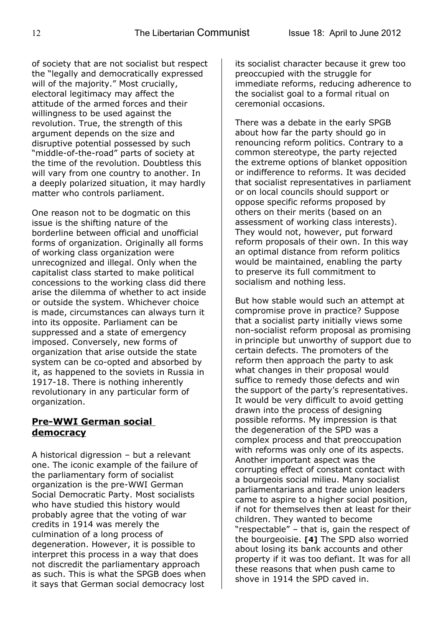of society that are not socialist but respect the "legally and democratically expressed will of the majority." Most crucially, electoral legitimacy may affect the attitude of the armed forces and their willingness to be used against the revolution. True, the strength of this argument depends on the size and disruptive potential possessed by such "middle-of-the-road" parts of society at the time of the revolution. Doubtless this will vary from one country to another. In a deeply polarized situation, it may hardly matter who controls parliament.

One reason not to be dogmatic on this issue is the shifting nature of the borderline between official and unofficial forms of organization. Originally all forms of working class organization were unrecognized and illegal. Only when the capitalist class started to make political concessions to the working class did there arise the dilemma of whether to act inside or outside the system. Whichever choice is made, circumstances can always turn it into its opposite. Parliament can be suppressed and a state of emergency imposed. Conversely, new forms of organization that arise outside the state system can be co-opted and absorbed by it, as happened to the soviets in Russia in 1917-18. There is nothing inherently revolutionary in any particular form of organization.

# **Pre-WWI German social democracy**

A historical digression – but a relevant one. The iconic example of the failure of the parliamentary form of socialist organization is the pre-WWI German Social Democratic Party. Most socialists who have studied this history would probably agree that the voting of war credits in 1914 was merely the culmination of a long process of degeneration. However, it is possible to interpret this process in a way that does not discredit the parliamentary approach as such. This is what the SPGB does when it says that German social democracy lost

its socialist character because it grew too preoccupied with the struggle for immediate reforms, reducing adherence to the socialist goal to a formal ritual on ceremonial occasions.

There was a debate in the early SPGB about how far the party should go in renouncing reform politics. Contrary to a common stereotype, the party rejected the extreme options of blanket opposition or indifference to reforms. It was decided that socialist representatives in parliament or on local councils should support or oppose specific reforms proposed by others on their merits (based on an assessment of working class interests). They would not, however, put forward reform proposals of their own. In this way an optimal distance from reform politics would be maintained, enabling the party to preserve its full commitment to socialism and nothing less.

But how stable would such an attempt at compromise prove in practice? Suppose that a socialist party initially views some non-socialist reform proposal as promising in principle but unworthy of support due to certain defects. The promoters of the reform then approach the party to ask what changes in their proposal would suffice to remedy those defects and win the support of the party's representatives. It would be very difficult to avoid getting drawn into the process of designing possible reforms. My impression is that the degeneration of the SPD was a complex process and that preoccupation with reforms was only one of its aspects. Another important aspect was the corrupting effect of constant contact with a bourgeois social milieu. Many socialist parliamentarians and trade union leaders came to aspire to a higher social position, if not for themselves then at least for their children. They wanted to become "respectable" – that is, gain the respect of the bourgeoisie. **[4]** The SPD also worried about losing its bank accounts and other property if it was too defiant. It was for all these reasons that when push came to shove in 1914 the SPD caved in.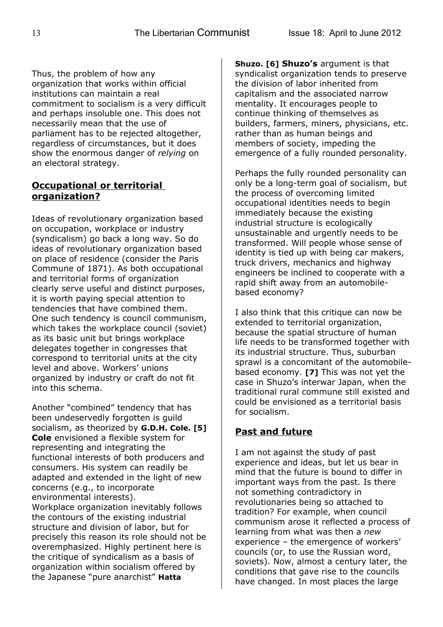Thus, the problem of how any organization that works within official institutions can maintain a real commitment to socialism is a very difficult and perhaps insoluble one. This does not necessarily mean that the use of parliament has to be rejected altogether, regardless of circumstances, but it does show the enormous danger of *relying* on an electoral strategy.

# **Occupational or territorial organization?**

Ideas of revolutionary organization based on occupation, workplace or industry (syndicalism) go back a long way. So do ideas of revolutionary organization based on place of residence (consider the Paris Commune of 1871). As both occupational and territorial forms of organization clearly serve useful and distinct purposes, it is worth paying special attention to tendencies that have combined them. One such tendency is council communism, which takes the workplace council (soviet) as its basic unit but brings workplace delegates together in congresses that correspond to territorial units at the city level and above. Workers' unions organized by industry or craft do not fit into this schema.

Another "combined" tendency that has been undeservedly forgotten is guild socialism, as theorized by **G.D.H. Cole. [5] Cole** envisioned a flexible system for representing and integrating the functional interests of both producers and consumers. His system can readily be adapted and extended in the light of new concerns (e.g., to incorporate environmental interests).

Workplace organization inevitably follows the contours of the existing industrial structure and division of labor, but for precisely this reason its role should not be overemphasized. Highly pertinent here is the critique of syndicalism as a basis of organization within socialism offered by the Japanese "pure anarchist" **Hatta**

**Shuzo. [6] Shuzo's** argument is that syndicalist organization tends to preserve the division of labor inherited from capitalism and the associated narrow mentality. It encourages people to continue thinking of themselves as builders, farmers, miners, physicians, etc. rather than as human beings and members of society, impeding the emergence of a fully rounded personality.

Perhaps the fully rounded personality can only be a long-term goal of socialism, but the process of overcoming limited occupational identities needs to begin immediately because the existing industrial structure is ecologically unsustainable and urgently needs to be transformed. Will people whose sense of identity is tied up with being car makers, truck drivers, mechanics and highway engineers be inclined to cooperate with a rapid shift away from an automobilebased economy?

I also think that this critique can now be extended to territorial organization, because the spatial structure of human life needs to be transformed together with its industrial structure. Thus, suburban sprawl is a concomitant of the automobilebased economy. **[7]** This was not yet the case in Shuzo's interwar Japan, when the traditional rural commune still existed and could be envisioned as a territorial basis for socialism.

# **Past and future**

I am not against the study of past experience and ideas, but let us bear in mind that the future is bound to differ in important ways from the past. Is there not something contradictory in revolutionaries being so attached to tradition? For example, when council communism arose it reflected a process of learning from what was then a *new* experience – the emergence of workers' councils (or, to use the Russian word, soviets). Now, almost a century later, the conditions that gave rise to the councils have changed. In most places the large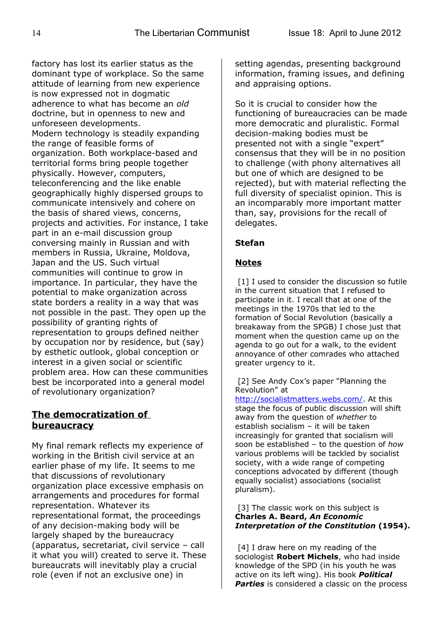factory has lost its earlier status as the dominant type of workplace. So the same attitude of learning from new experience is now expressed not in dogmatic adherence to what has become an *old* doctrine, but in openness to new and unforeseen developments. Modern technology is steadily expanding the range of feasible forms of organization. Both workplace-based and territorial forms bring people together physically. However, computers, teleconferencing and the like enable geographically highly dispersed groups to communicate intensively and cohere on the basis of shared views, concerns, projects and activities. For instance, I take part in an e-mail discussion group conversing mainly in Russian and with members in Russia, Ukraine, Moldova, Japan and the US. Such virtual communities will continue to grow in importance. In particular, they have the potential to make organization across state borders a reality in a way that was not possible in the past. They open up the possibility of granting rights of representation to groups defined neither by occupation nor by residence, but (say) by esthetic outlook, global conception or interest in a given social or scientific problem area. How can these communities best be incorporated into a general model of revolutionary organization?

# **The democratization of bureaucracy**

My final remark reflects my experience of working in the British civil service at an earlier phase of my life. It seems to me that discussions of revolutionary organization place excessive emphasis on arrangements and procedures for formal representation. Whatever its representational format, the proceedings of any decision-making body will be largely shaped by the bureaucracy (apparatus, secretariat, civil service – call it what you will) created to serve it. These bureaucrats will inevitably play a crucial role (even if not an exclusive one) in

setting agendas, presenting background information, framing issues, and defining and appraising options.

So it is crucial to consider how the functioning of bureaucracies can be made more democratic and pluralistic. Formal decision-making bodies must be presented not with a single "expert" consensus that they will be in no position to challenge (with phony alternatives all but one of which are designed to be rejected), but with material reflecting the full diversity of specialist opinion. This is an incomparably more important matter than, say, provisions for the recall of delegates.

# **Stefan**

#### **Notes**

[1] I used to consider the discussion so futile in the current situation that I refused to participate in it. I recall that at one of the meetings in the 1970s that led to the formation of Social Revolution (basically a breakaway from the SPGB) I chose just that moment when the question came up on the agenda to go out for a walk, to the evident annoyance of other comrades who attached greater urgency to it.

#### [2] See Andy Cox's paper "Planning the Revolution" at

[http://socialistmatters.webs.com/.](http://socialistmatters.webs.com/) At this stage the focus of public discussion will shift away from the question of *whether* to establish socialism – it will be taken increasingly for granted that socialism will soon be established – to the question of *how* various problems will be tackled by socialist society, with a wide range of competing conceptions advocated by different (though equally socialist) associations (socialist pluralism).

#### [3] The classic work on this subject is **Charles A. Beard,** *An Economic Interpretation of the Constitution* **(1954).**

[4] I draw here on my reading of the sociologist **Robert Michels**, who had inside knowledge of the SPD (in his youth he was active on its left wing). His book *Political* **Parties** is considered a classic on the process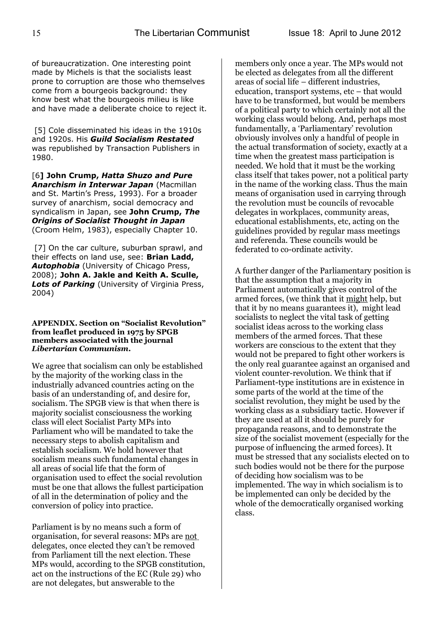of bureaucratization. One interesting point made by Michels is that the socialists least prone to corruption are those who themselves come from a bourgeois background: they know best what the bourgeois milieu is like and have made a deliberate choice to reject it.

 [5] Cole disseminated his ideas in the 1910s and 1920s. His *Guild Socialism Restated* was republished by Transaction Publishers in 1980.

[6**] John Crump,** *Hatta Shuzo and Pure Anarchism in Interwar Japan* (Macmillan and St. Martin's Press, 1993). For a broader survey of anarchism, social democracy and syndicalism in Japan, see **John Crump,** *The Origins of Socialist Thought in Japan* (Croom Helm, 1983), especially Chapter 10.

[7] On the car culture, suburban sprawl, and their effects on land use, see: **Brian Ladd,** *Autophobia* (University of Chicago Press, 2008); **John A. Jakle and Keith A. Sculle,** *Lots of Parking* (University of Virginia Press, 2004)

#### **APPENDIX. Section on "Socialist Revolution" from leaflet produced in 1975 by SPGB members associated with the journal** *Libertarian Communism***.**

We agree that socialism can only be established by the majority of the working class in the industrially advanced countries acting on the basis of an understanding of, and desire for, socialism. The SPGB view is that when there is majority socialist consciousness the working class will elect Socialist Party MPs into Parliament who will be mandated to take the necessary steps to abolish capitalism and establish socialism. We hold however that socialism means such fundamental changes in all areas of social life that the form of organisation used to effect the social revolution must be one that allows the fullest participation of all in the determination of policy and the conversion of policy into practice.

Parliament is by no means such a form of organisation, for several reasons: MPs are not delegates, once elected they can't be removed from Parliament till the next election. These MPs would, according to the SPGB constitution, act on the instructions of the EC (Rule 29) who are not delegates, but answerable to the

members only once a year. The MPs would not be elected as delegates from all the different areas of social life – different industries, education, transport systems, etc – that would have to be transformed, but would be members of a political party to which certainly not all the working class would belong. And, perhaps most fundamentally, a 'Parliamentary' revolution obviously involves only a handful of people in the actual transformation of society, exactly at a time when the greatest mass participation is needed. We hold that it must be the working class itself that takes power, not a political party in the name of the working class. Thus the main means of organisation used in carrying through the revolution must be councils of revocable delegates in workplaces, community areas, educational establishments, etc, acting on the guidelines provided by regular mass meetings and referenda. These councils would be federated to co-ordinate activity.

A further danger of the Parliamentary position is that the assumption that a majority in Parliament automatically gives control of the armed forces, (we think that it might help, but that it by no means guarantees it), might lead socialists to neglect the vital task of getting socialist ideas across to the working class members of the armed forces. That these workers are conscious to the extent that they would not be prepared to fight other workers is the only real guarantee against an organised and violent counter-revolution. We think that if Parliament-type institutions are in existence in some parts of the world at the time of the socialist revolution, they might be used by the working class as a subsidiary tactic. However if they are used at all it should be purely for propaganda reasons, and to demonstrate the size of the socialist movement (especially for the purpose of influencing the armed forces). It must be stressed that any socialists elected on to such bodies would not be there for the purpose of deciding how socialism was to be implemented. The way in which socialism is to be implemented can only be decided by the whole of the democratically organised working class.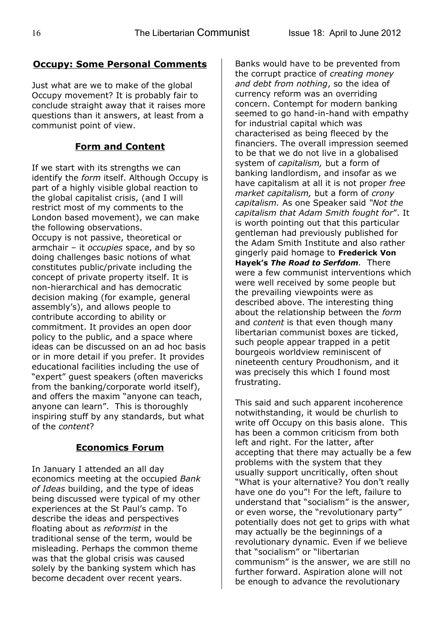# **Occupy: Some Personal Comments**

Just what are we to make of the global Occupy movement? It is probably fair to conclude straight away that it raises more questions than it answers, at least from a communist point of view.

# **Form and Content**

If we start with its strengths we can identify the *form* itself. Although Occupy is part of a highly visible global reaction to the global capitalist crisis, (and I will restrict most of my comments to the London based movement), we can make the following observations. Occupy is not passive, theoretical or armchair – it *occupies* space, and by so doing challenges basic notions of what constitutes public/private including the concept of private property itself. It is non-hierarchical and has democratic decision making (for example, general assembly's), and allows people to contribute according to ability or commitment. It provides an open door policy to the public, and a space where ideas can be discussed on an ad hoc basis or in more detail if you prefer. It provides educational facilities including the use of "expert" guest speakers (often mavericks from the banking/corporate world itself), and offers the maxim "anyone can teach, anyone can learn". This is thoroughly inspiring stuff by any standards, but what of the *content*?

# **Economics Forum**

In January I attended an all day economics meeting at the occupied *Bank of Ideas* building, and the type of ideas being discussed were typical of my other experiences at the St Paul's camp. To describe the ideas and perspectives floating about as *reformist* in the traditional sense of the term, would be misleading. Perhaps the common theme was that the global crisis was caused solely by the banking system which has become decadent over recent years.

Banks would have to be prevented from the corrupt practice of *creating money and debt from nothing*, so the idea of currency reform was an overriding concern. Contempt for modern banking seemed to go hand-in-hand with empathy for industrial capital which was characterised as being fleeced by the financiers. The overall impression seemed to be that we do not live in a globalised system of *capitalism,* but a form of banking landlordism, and insofar as we have capitalism at all it is not proper *free market capitalism,* but a form of *crony capitalism.* As one Speaker said *"Not the capitalism that Adam Smith fought for*". It is worth pointing out that this particular gentleman had previously published for the Adam Smith Institute and also rather gingerly paid homage to **Frederick Von Hayek's** *The Road to Serfdom.* There were a few communist interventions which were well received by some people but the prevailing viewpoints were as described above. The interesting thing about the relationship between the *form* and *content* is that even though many libertarian communist boxes are ticked, such people appear trapped in a petit bourgeois worldview reminiscent of nineteenth century Proudhonism, and it was precisely this which I found most frustrating.

This said and such apparent incoherence notwithstanding, it would be churlish to write off Occupy on this basis alone. This has been a common criticism from both left and right. For the latter, after accepting that there may actually be a few problems with the system that they usually support uncritically, often shout "What is your alternative? You don't really have one do you"! For the left, failure to understand that "socialism" is the answer, or even worse, the "revolutionary party" potentially does not get to grips with what may actually be the beginnings of a revolutionary dynamic. Even if we believe that "socialism" or "libertarian communism" is the answer, we are still no further forward. Aspiration alone will not be enough to advance the revolutionary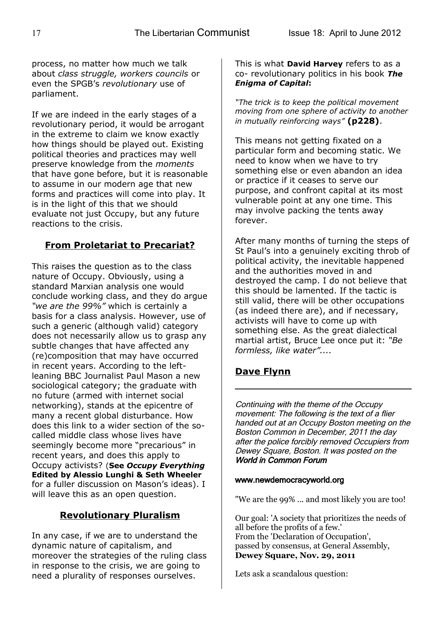process, no matter how much we talk about *class struggle, workers councils* or even the SPGB's *revolutionary* use of parliament.

If we are indeed in the early stages of a revolutionary period, it would be arrogant in the extreme to claim we know exactly how things should be played out. Existing political theories and practices may well preserve knowledge from the *moments* that have gone before, but it is reasonable to assume in our modern age that new forms and practices will come into play. It is in the light of this that we should evaluate not just Occupy, but any future reactions to the crisis.

# **From Proletariat to Precariat?**

This raises the question as to the class nature of Occupy. Obviously, using a standard Marxian analysis one would conclude working class, and they do argue *"we are the 99%"* which is certainly a basis for a class analysis. However, use of such a generic (although valid) category does not necessarily allow us to grasp any subtle changes that have affected any (re)composition that may have occurred in recent years. According to the leftleaning BBC Journalist Paul Mason a new sociological category; the graduate with no future (armed with internet social networking), stands at the epicentre of many a recent global disturbance. How does this link to a wider section of the socalled middle class whose lives have seemingly become more "precarious" in recent years, and does this apply to Occupy activists? (**See** *Occupy Everything* **Edited by Alessio Lunghi & Seth Wheeler** for a fuller discussion on Mason's ideas). I will leave this as an open question.

# **Revolutionary Pluralism**

In any case, if we are to understand the dynamic nature of capitalism, and moreover the strategies of the ruling class in response to the crisis, we are going to need a plurality of responses ourselves.

This is what **David Harvey** refers to as a co- revolutionary politics in his book *The Enigma of Capital***:**

*"The trick is to keep the political movement moving from one sphere of activity to another in mutually reinforcing ways"* **(p228)**.

This means not getting fixated on a particular form and becoming static. We need to know when we have to try something else or even abandon an idea or practice if it ceases to serve our purpose, and confront capital at its most vulnerable point at any one time. This may involve packing the tents away forever.

After many months of turning the steps of St Paul's into a genuinely exciting throb of political activity, the inevitable happened and the authorities moved in and destroyed the camp. I do not believe that this should be lamented. If the tactic is still valid, there will be other occupations (as indeed there are), and if necessary, activists will have to come up with something else. As the great dialectical martial artist, Bruce Lee once put it: *"Be formless, like water"....*

# **Dave Flynn**

Continuing with the theme of the Occupy movement: The following is the text of a flier handed out at an Occupy Boston meeting on the Boston Common in December, 2011 the day after the police forcibly removed Occupiers from Dewey Square, Boston. It was posted on the World in Common Forum

#### www.newdemocracyworld.org

"We are the 99% ... and most likely you are too!

Our goal: 'A society that prioritizes the needs of all before the profits of a few.' From the 'Declaration of Occupation', passed by consensus, at General Assembly, **Dewey Square, Nov. 29, 2011**

Lets ask a scandalous question: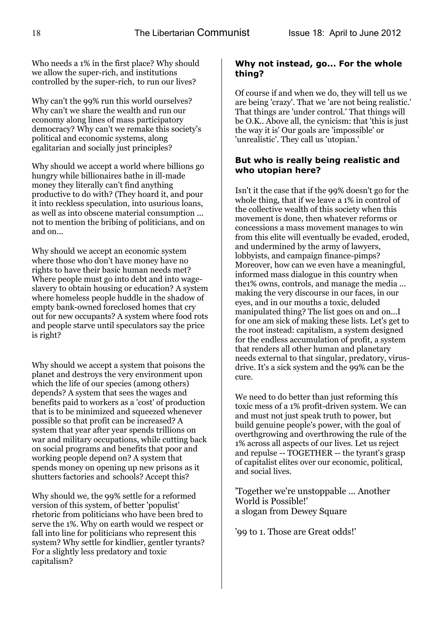Who needs a 1% in the first place? Why should we allow the super-rich, and institutions controlled by the super-rich, to run our lives?

Why can't the 99% run this world ourselves? Why can't we share the wealth and run our economy along lines of mass participatory democracy? Why can't we remake this society's political and economic systems, along egalitarian and socially just principles?

Why should we accept a world where billions go hungry while billionaires bathe in ill-made money they literally can't find anything productive to do with? (They hoard it, and pour it into reckless speculation, into usurious loans, as well as into obscene material consumption ... not to mention the bribing of politicians, and on and on...

Why should we accept an economic system where those who don't have money have no rights to have their basic human needs met? Where people must go into debt and into wageslavery to obtain housing or education? A system where homeless people huddle in the shadow of empty bank-owned foreclosed homes that cry out for new occupants? A system where food rots and people starve until speculators say the price is right?

Why should we accept a system that poisons the planet and destroys the very environment upon which the life of our species (among others) depends? A system that sees the wages and benefits paid to workers as a 'cost' of production that is to be minimized and squeezed whenever possible so that profit can be increased? A system that year after year spends trillions on war and military occupations, while cutting back on social programs and benefits that poor and working people depend on? A system that spends money on opening up new prisons as it shutters factories and schools? Accept this?

Why should we, the 99% settle for a reformed version of this system, of better 'populist' rhetoric from politicians who have been bred to serve the 1%. Why on earth would we respect or fall into line for politicians who represent this system? Why settle for kindlier, gentler tyrants? For a slightly less predatory and toxic capitalism?

#### **Why not instead, go... For the whole thing?**

Of course if and when we do, they will tell us we are being 'crazy'. That we 'are not being realistic.' That things are 'under control.' That things will be O.K.. Above all, the cynicism: that 'this is just the way it is' Our goals are 'impossible' or 'unrealistic'. They call us 'utopian.'

#### **But who is really being realistic and who utopian here?**

Isn't it the case that if the 99% doesn't go for the whole thing, that if we leave a 1% in control of the collective wealth of this society when this movement is done, then whatever reforms or concessions a mass movement manages to win from this elite will eventually be evaded, eroded, and undermined by the army of lawyers, lobbyists, and campaign finance-pimps? Moreover, how can we even have a meaningful, informed mass dialogue in this country when the1% owns, controls, and manage the media ... making the very discourse in our faces, in our eyes, and in our mouths a toxic, deluded manipulated thing? The list goes on and on...I for one am sick of making these lists. Let's get to the root instead: capitalism, a system designed for the endless accumulation of profit, a system that renders all other human and planetary needs external to that singular, predatory, virusdrive. It's a sick system and the 99% can be the cure.

We need to do better than just reforming this toxic mess of a 1% profit-driven system. We can and must not just speak truth to power, but build genuine people's power, with the goal of overthgrowing and overthrowing the rule of the 1% across all aspects of our lives. Let us reject and repulse -- TOGETHER -- the tyrant's grasp of capitalist elites over our economic, political, and social lives.

'Together we're unstoppable ... Another World is Possible!' a slogan from Dewey Square

'99 to 1. Those are Great odds!'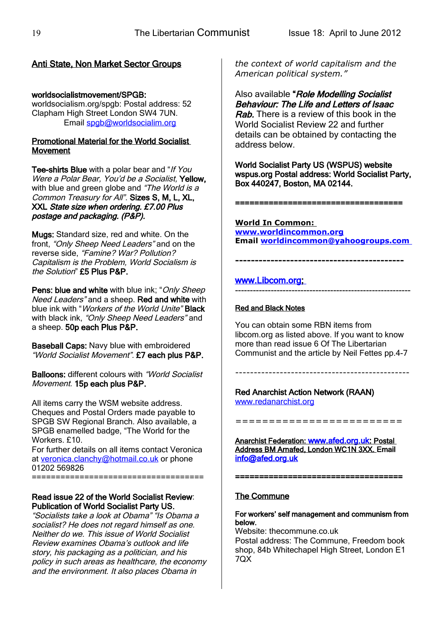# Anti State, Non Market Sector Groups

#### worldsocialistmovement/SPGB:

worldsocialism.org/spgb: Postal address: 52 Clapham High Street London SW4 7UN. Email [spgb@worldsocialim.org](mailto:spgb@worldsocialim.org)

#### Promotional Material for the World Socialist Movement

Tee-shirts Blue with a polar bear and "If You Were a Polar Bear, You'd be a Socialist, Yellow, with blue and green globe and "The World is a Common Treasury for All". Sizes S, M, L, XL, XXL State size when ordering. £7.00 Plus postage and packaging. (P&P).

Mugs: Standard size, red and white. On the front, "Only Sheep Need Leaders" and on the reverse side, "Famine? War? Pollution? Capitalism is the Problem, World Socialism is the Solution" £5 Plus P&P.

Pens: blue and white with blue ink: "Only Sheep" Need Leaders" and a sheep. Red and white with blue ink with "Workers of the World Unite" Black with black ink, "Only Sheep Need Leaders" and a sheep. 50p each Plus P&P.

Baseball Caps: Navy blue with embroidered "World Socialist Movement". £7 each plus P&P.

Balloons: different colours with "World Socialist Movement. 15p each plus P&P.

All items carry the WSM website address. Cheques and Postal Orders made payable to SPGB SW Regional Branch. Also available, a SPGB enamelled badge, "The World for the Workers. £10

For further details on all items contact Veronica at [veronica.clanchy@hotmail.co.uk](mailto:veronica.clanchy@hotmail.co.uk) or phone 01202 569826 ====================================

#### Read issue 22 of the World Socialist Review: Publication of World Socialist Party US.

"Socialists take a look at Obama" "Is Obama a socialist? He does not regard himself as one. Neither do we. This issue of World Socialist Review examines Obama's outlook and life story, his packaging as a politician, and his policy in such areas as healthcare, the economy and the environment. It also places Obama in

*the context of world capitalism and the American political system."*

Also available "Role Modelling Socialist Behaviour: The Life and Letters of Isaac **Rab.** There is a review of this book in the World Socialist Review 22 and further details can be obtained by contacting the address below.

World Socialist Party US (WSPUS) website wspus.org Postal address: World Socialist Party, Box 440247, Boston, MA 02144.

**World In Common: [www.worldincommon.org](http://www.worldincommon.org/) Email [worldincommon@yahoogroups.com](mailto:worldincommon@yahoogroups.com)**

#### **-------------------------------------------**

===================================

#### www.Libcom.org -----------------------------------------------------------

#### Red and Black Notes

You can obtain some RBN items from libcom.org as listed above. If you want to know more than read issue 6 Of The Libertarian Communist and the article by Neil Fettes pp.4-7

-----------------------------------------------

# Red Anarchist Action Network (RAAN)

[www.redanarchist.org](http://www.redanarchist.org/)

=========================

Anarchist Federation: [www.afed.org.uk](http://www.afed.org.uk/): Postal Address BM Arnafed, London WC1N 3XX. Email [info@afed.org.uk](mailto:info@afed.org.uk) 

=================

#### The Commune

#### For workers' self management and communism from below.

Website: thecommune.co.uk Postal address: The Commune, Freedom book shop, 84b Whitechapel High Street, London E1 7QX